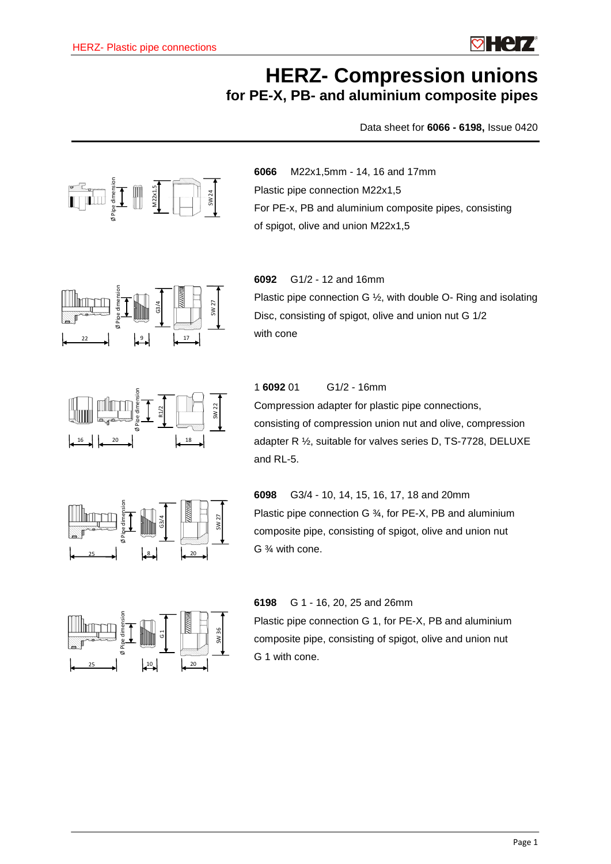

# **HERZ- Compression unions for PE-X, PB- and aluminium composite pipes**

Data sheet for **6066 - 6198,** Issue 0420



**6066** M22x1,5mm - 14, 16 and 17mm Plastic pipe connection M22x1,5 For PE-x, PB and aluminium composite pipes, consisting of spigot, olive and union M22x1,5



**6092** G1/2 - 12 and 16mm Plastic pipe connection G ½, with double O- Ring and isolating Disc, consisting of spigot, olive and union nut G 1/2 with cone



1 **6092** 01 G1/2 - 16mm

Compression adapter for plastic pipe connections, consisting of compression union nut and olive, compression adapter R ½, suitable for valves series D, TS-7728, DELUXE and RL-5.



**6098** G3/4 - 10, 14, 15, 16, 17, 18 and 20mm Plastic pipe connection G ¾, for PE-X, PB and aluminium composite pipe, consisting of spigot, olive and union nut G ¾ with cone.



**6198** G 1 - 16, 20, 25 and 26mm

Plastic pipe connection G 1, for PE-X, PB and aluminium composite pipe, consisting of spigot, olive and union nut G 1 with cone.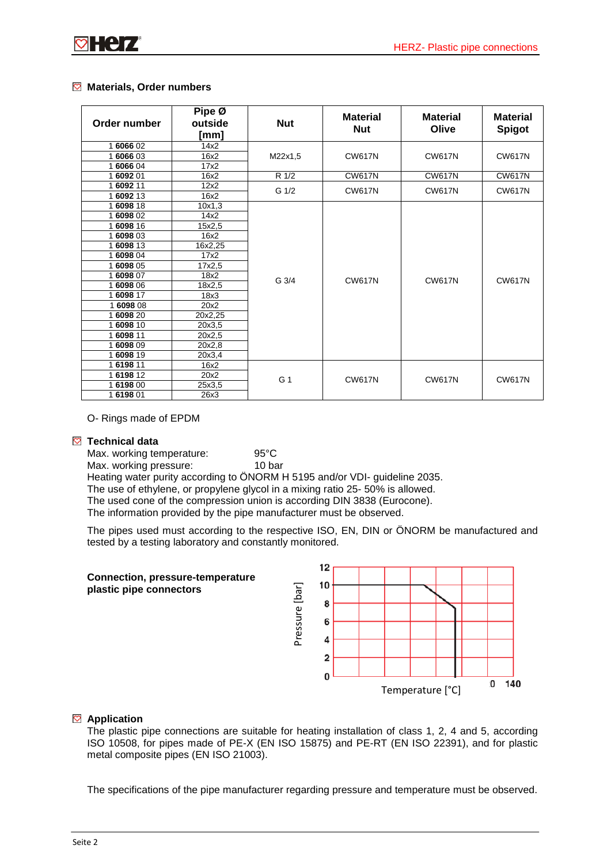### **Materials, Order numbers**

| Order number | Pipe Ø<br>outside<br>[mm] | <b>Nut</b>     | <b>Material</b><br><b>Nut</b> | <b>Material</b><br>Olive | <b>Material</b><br><b>Spigot</b> |
|--------------|---------------------------|----------------|-------------------------------|--------------------------|----------------------------------|
| 1 6066 02    | 14x2                      |                |                               |                          |                                  |
| 1 6066 03    | 16x2                      | M22x1,5        | <b>CW617N</b>                 | <b>CW617N</b>            | <b>CW617N</b>                    |
| 1 6066 04    | 17x2                      |                |                               |                          |                                  |
| 1 6092 01    | 16x2                      | R 1/2          | <b>CW617N</b>                 | <b>CW617N</b>            | <b>CW617N</b>                    |
| 1 6092 11    | 12x2                      | G 1/2          | <b>CW617N</b>                 | <b>CW617N</b>            | <b>CW617N</b>                    |
| 1 6092 13    | 16x2                      |                |                               |                          |                                  |
| 1 6098 18    | 10x1,3                    |                |                               |                          | <b>CW617N</b>                    |
| 1 6098 02    | 14x2                      |                | <b>CW617N</b>                 | <b>CW617N</b>            |                                  |
| 1 6098 16    | 15x2,5                    |                |                               |                          |                                  |
| 1 6098 03    | 16x2                      |                |                               |                          |                                  |
| 1 6098 13    | 16x2,25                   |                |                               |                          |                                  |
| 1 6098 04    | 17x2                      |                |                               |                          |                                  |
| 1 6098 05    | 17x2,5                    |                |                               |                          |                                  |
| 1 6098 07    | 18x2                      | G 3/4          |                               |                          |                                  |
| 1 6098 06    | 18x2,5                    |                |                               |                          |                                  |
| 1 6098 17    | 18x3                      |                |                               |                          |                                  |
| 1609808      | 20x2                      |                |                               |                          |                                  |
| 1 6098 20    | 20x2,25                   |                |                               |                          |                                  |
| 1 6098 10    | 20x3,5                    |                |                               |                          |                                  |
| 1 6098 11    | 20x2,5                    |                |                               |                          |                                  |
| 1 6098 09    | 20x2,8                    |                |                               |                          |                                  |
| 1 6098 19    | 20x3,4                    |                |                               |                          |                                  |
| 1 6198 11    | 16x2                      |                |                               |                          |                                  |
| 1 6198 12    | 20x2                      | G <sub>1</sub> | <b>CW617N</b>                 | <b>CW617N</b>            | <b>CW617N</b>                    |
| 1 6198 00    | 25x3,5                    |                |                               |                          |                                  |
| 1619801      | 26x3                      |                |                               |                          |                                  |

O- Rings made of EPDM

### **Technical data**

Max. working temperature: 95°C Max. working pressure: 10 bar

Heating water purity according to ÖNORM H 5195 and/or VDI- guideline 2035.

The use of ethylene, or propylene glycol in a mixing ratio 25- 50% is allowed.

The used cone of the compression union is according DIN 3838 (Eurocone).

The information provided by the pipe manufacturer must be observed.

The pipes used must according to the respective ISO, EN, DIN or ÖNORM be manufactured and tested by a testing laboratory and constantly monitored.



### **Application**

The plastic pipe connections are suitable for heating installation of class 1, 2, 4 and 5, according ISO 10508, for pipes made of PE-X (EN ISO 15875) and PE-RT (EN ISO 22391), and for plastic metal composite pipes (EN ISO 21003).

The specifications of the pipe manufacturer regarding pressure and temperature must be observed.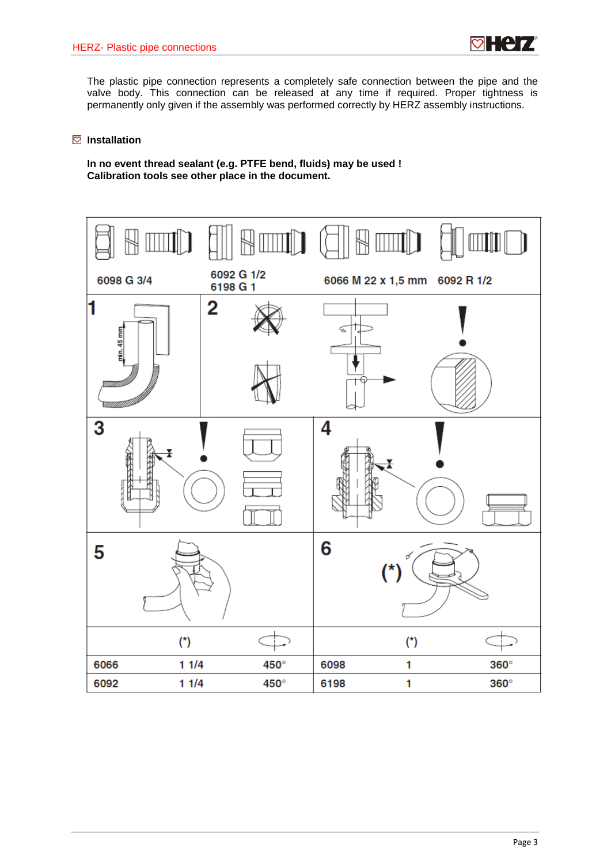

The plastic pipe connection represents a completely safe connection between the pipe and the valve body. This connection can be released at any time if required. Proper tightness is permanently only given if the assembly was performed correctly by HERZ assembly instructions.

#### **Installation**

**In no event thread sealant (e.g. PTFE bend, fluids) may be used ! Calibration tools see other place in the document.**

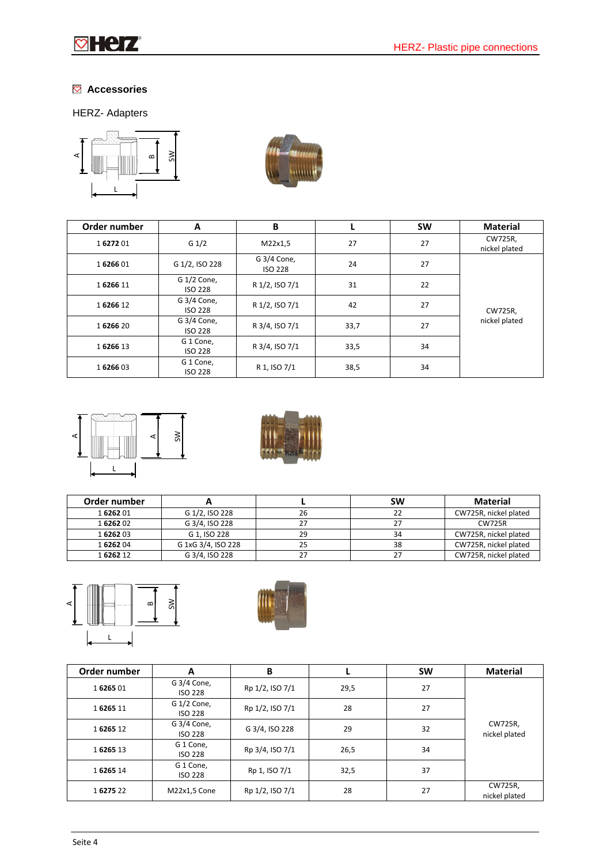

## **Accessories**

## HERZ- Adapters





| Order number | A                             | B                             |      | <b>SW</b> | <b>Material</b>          |
|--------------|-------------------------------|-------------------------------|------|-----------|--------------------------|
| 1627201      | G $1/2$                       | M22x1,5                       | 27   | 27        | CW725R,<br>nickel plated |
| 1626601      | G 1/2, ISO 228                | G 3/4 Cone,<br><b>ISO 228</b> | 24   | 27        |                          |
| 1626611      | G 1/2 Cone,<br><b>ISO 228</b> | R 1/2, ISO 7/1                | 31   | 22        | CW725R,<br>nickel plated |
| 1626612      | G 3/4 Cone,<br><b>ISO 228</b> | R 1/2, ISO 7/1                | 42   | 27        |                          |
| 1626620      | G 3/4 Cone,<br><b>ISO 228</b> | R 3/4, ISO 7/1                | 33,7 | 27        |                          |
| 1626613      | G 1 Cone,<br><b>ISO 228</b>   | R 3/4, ISO 7/1                | 33,5 | 34        |                          |
| 1626603      | G 1 Cone,<br><b>ISO 228</b>   | R 1, ISO 7/1                  | 38,5 | 34        |                          |





| Order number |                    |    | <b>SW</b> | <b>Material</b>       |
|--------------|--------------------|----|-----------|-----------------------|
| 1626201      | G 1/2, ISO 228     | 26 | 22        | CW725R, nickel plated |
| 1626202      | G 3/4, ISO 228     | דר | 27        | <b>CW725R</b>         |
| 1626203      | G 1. ISO 228       | 29 | 34        | CW725R, nickel plated |
| 1626204      | G 1xG 3/4, ISO 228 | 25 | 38        | CW725R, nickel plated |
| 1626212      | G 3/4, ISO 228     |    | 27        | CW725R, nickel plated |





| Order number | A                             | В               |      | <b>SW</b> | <b>Material</b>          |
|--------------|-------------------------------|-----------------|------|-----------|--------------------------|
| 1626501      | G 3/4 Cone,<br><b>ISO 228</b> | Rp 1/2, ISO 7/1 | 29,5 | 27        |                          |
| 1626511      | G 1/2 Cone,<br><b>ISO 228</b> | Rp 1/2, ISO 7/1 | 28   | 27        |                          |
| 1626512      | G 3/4 Cone,<br><b>ISO 228</b> | G 3/4, ISO 228  | 29   | 32        | CW725R,<br>nickel plated |
| 1626513      | G 1 Cone,<br><b>ISO 228</b>   | Rp 3/4, ISO 7/1 | 26,5 | 34        |                          |
| 1626514      | G 1 Cone,<br><b>ISO 228</b>   | Rp 1, ISO 7/1   | 32,5 | 37        |                          |
| 1627522      | M22x1,5 Cone                  | Rp 1/2, ISO 7/1 | 28   | 27        | CW725R,<br>nickel plated |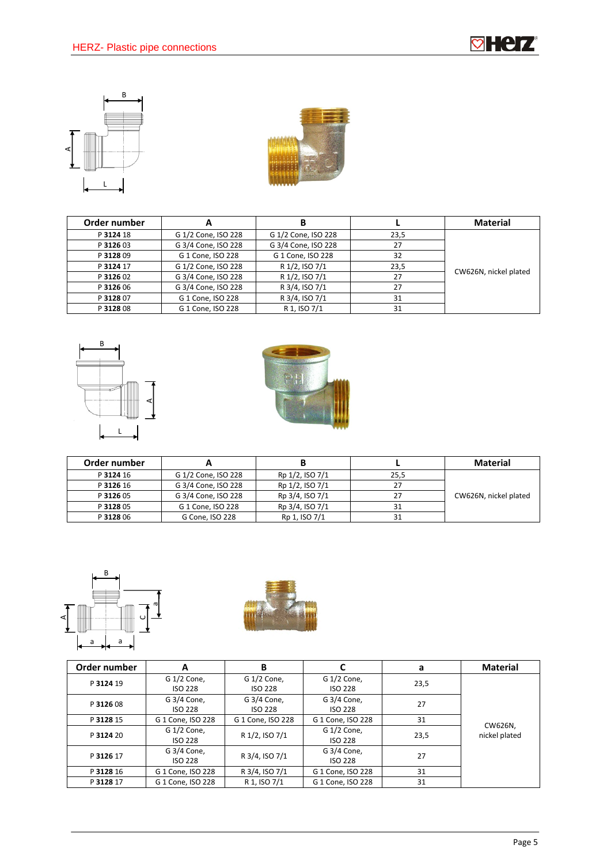**ø Heiz** 





| Order number | A                   |                     |      | <b>Material</b>       |
|--------------|---------------------|---------------------|------|-----------------------|
| P 3124 18    | G 1/2 Cone, ISO 228 | G 1/2 Cone, ISO 228 | 23,5 |                       |
| P 3126 03    | G 3/4 Cone, ISO 228 | G 3/4 Cone, ISO 228 | 27   |                       |
| P 3128 09    | G 1 Cone, ISO 228   | G 1 Cone, ISO 228   | 32   |                       |
| P 3124 17    | G 1/2 Cone, ISO 228 | R 1/2, ISO 7/1      | 23.5 | CW626N, nickel plated |
| P 3126 02    | G 3/4 Cone, ISO 228 | R 1/2, ISO 7/1      | 27   |                       |
| P 3126 06    | G 3/4 Cone, ISO 228 | R 3/4, ISO 7/1      | 27   |                       |
| P 3128 07    | G 1 Cone, ISO 228   | R 3/4, ISO 7/1      | 31   |                       |
| P 3128 08    | G 1 Cone. ISO 228   | R 1. ISO 7/1        | 31   |                       |





| Order number |                     |                 |      | <b>Material</b>       |
|--------------|---------------------|-----------------|------|-----------------------|
| P 3124 16    | G 1/2 Cone, ISO 228 | Rp 1/2, ISO 7/1 | 25,5 |                       |
| P 3126 16    | G 3/4 Cone, ISO 228 | Rp 1/2, ISO 7/1 | 27   |                       |
| P 3126 05    | G 3/4 Cone, ISO 228 | Rp 3/4, ISO 7/1 | 27   | CW626N, nickel plated |
| P 3128 05    | G 1 Cone, ISO 228   | Rp 3/4, ISO 7/1 | 31   |                       |
| P 3128 06    | G Cone, ISO 228     | Rp 1, ISO 7/1   | 31   |                       |





| Order number | А                             | в                             |                               | a    | <b>Material</b>          |
|--------------|-------------------------------|-------------------------------|-------------------------------|------|--------------------------|
| P 3124 19    | G 1/2 Cone,<br><b>ISO 228</b> | G 1/2 Cone,<br><b>ISO 228</b> | G 1/2 Cone,<br><b>ISO 228</b> | 23,5 |                          |
| P 3126 08    | G 3/4 Cone,<br><b>ISO 228</b> | G 3/4 Cone,<br>ISO 228        | G 3/4 Cone,<br><b>ISO 228</b> | 27   |                          |
| P 3128 15    | G 1 Cone, ISO 228             | G 1 Cone, ISO 228             | G 1 Cone, ISO 228             | 31   |                          |
| P 3124 20    | G 1/2 Cone,<br><b>ISO 228</b> | R 1/2, ISO 7/1                | G 1/2 Cone,<br><b>ISO 228</b> | 23,5 | CW626N,<br>nickel plated |
| P 3126 17    | G 3/4 Cone,<br><b>ISO 228</b> | R 3/4, ISO 7/1                | G 3/4 Cone,<br><b>ISO 228</b> | 27   |                          |
| P 3128 16    | G 1 Cone, ISO 228             | R 3/4, ISO 7/1                | G 1 Cone, ISO 228             | 31   |                          |
| P 3128 17    | G 1 Cone, ISO 228             | R 1, ISO 7/1                  | G 1 Cone, ISO 228             | 31   |                          |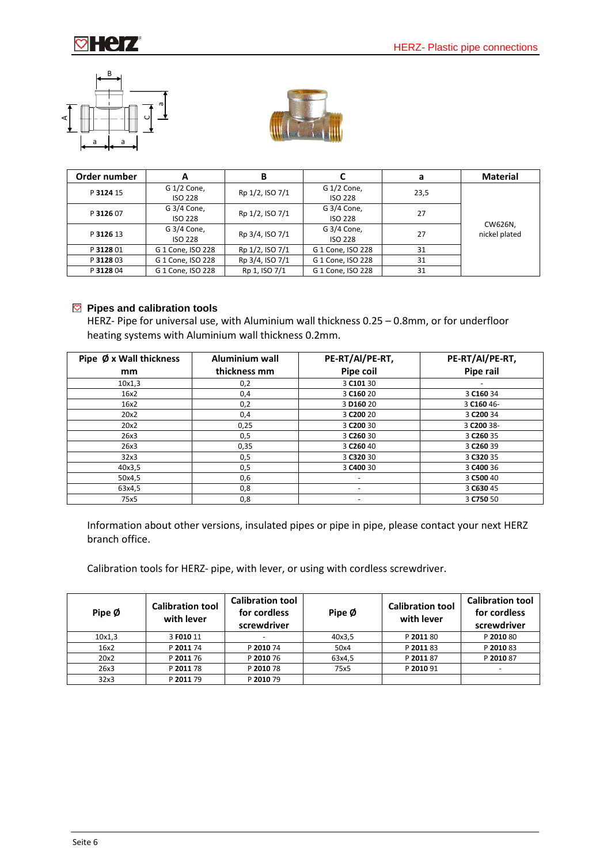





| Order number | A                             | в               |                               | а    | <b>Material</b>          |
|--------------|-------------------------------|-----------------|-------------------------------|------|--------------------------|
| P 3124 15    | G 1/2 Cone,<br><b>ISO 228</b> | Rp 1/2, ISO 7/1 | G 1/2 Cone,<br><b>ISO 228</b> | 23,5 |                          |
| P 3126 07    | G 3/4 Cone,<br><b>ISO 228</b> | Rp 1/2, ISO 7/1 | G 3/4 Cone,<br><b>ISO 228</b> | 27   |                          |
| P 3126 13    | G 3/4 Cone,<br><b>ISO 228</b> | Rp 3/4, ISO 7/1 | G 3/4 Cone,<br><b>ISO 228</b> | 27   | CW626N,<br>nickel plated |
| P 3128 01    | G 1 Cone, ISO 228             | Rp 1/2, ISO 7/1 | G 1 Cone, ISO 228             | 31   |                          |
| P 3128 03    | G 1 Cone, ISO 228             | Rp 3/4, ISO 7/1 | G 1 Cone, ISO 228             | 31   |                          |
| P 3128 04    | G 1 Cone, ISO 228             | Rp 1, ISO 7/1   | G 1 Cone, ISO 228             | 31   |                          |

### **Pipes and calibration tools**

HERZ- Pipe for universal use, with Aluminium wall thickness 0.25 – 0.8mm, or for underfloor heating systems with Aluminium wall thickness 0.2mm.

| Pipe Ø x Wall thickness | Aluminium wall | PE-RT/Al/PE-RT,          | PE-RT/Al/PE-RT,       |
|-------------------------|----------------|--------------------------|-----------------------|
| mm                      | thickness mm   | Pipe coil                | Pipe rail             |
| 10x1,3                  | 0,2            | 3 C101 30                |                       |
| 16x2                    | 0,4            | 3 C160 20                | 3 C160 34             |
| 16x2                    | 0,2            | 3 D <sub>160</sub> 20    | 3 C160 46-            |
| 20x2                    | 0,4            | 3 C <sub>200</sub> 20    | 3 C200 34             |
| 20x2                    | 0,25           | 3 C <sub>200</sub> 30    | 3 C200 38-            |
| 26x3                    | 0,5            | 3 C <sub>260</sub> 30    | 3 C <sub>260</sub> 35 |
| 26x3                    | 0,35           | 3 C <sub>260</sub> 40    | 3 C <sub>260</sub> 39 |
| 32x3                    | 0,5            | 3 C320 30                | 3 C320 35             |
| 40x3,5                  | 0,5            | 3 C400 30                | 3 C400 36             |
| 50x4,5                  | 0,6            | $\overline{\phantom{a}}$ | 3 C500 40             |
| 63x4,5                  | 0,8            | $\overline{\phantom{0}}$ | 3 C630 45             |
| 75x5                    | 0,8            | $\overline{\phantom{a}}$ | 3 C750 50             |

Information about other versions, insulated pipes or pipe in pipe, please contact your next HERZ branch office.

Calibration tools for HERZ- pipe, with lever, or using with cordless screwdriver.

| Pipe Ø | <b>Calibration tool</b><br>with lever | <b>Calibration tool</b><br>for cordless<br>screwdriver | Pipe Ø | <b>Calibration tool</b><br>with lever | <b>Calibration tool</b><br>for cordless<br>screwdriver |
|--------|---------------------------------------|--------------------------------------------------------|--------|---------------------------------------|--------------------------------------------------------|
| 10x1,3 | 3 F010 11                             | $\overline{\phantom{0}}$                               | 40x3,5 | P 2011 80                             | P 2010 80                                              |
| 16x2   | P 2011 74                             | P 2010 74                                              | 50x4   | P 2011 83                             | P 2010 83                                              |
| 20x2   | P 2011 76                             | P 2010 76                                              | 63x4,5 | P 2011 87                             | P 2010 87                                              |
| 26x3   | P 2011 78                             | P 2010 78                                              | 75x5   | P 2010 91                             | ٠                                                      |
| 32x3   | P 2011 79                             | P 2010 79                                              |        |                                       |                                                        |